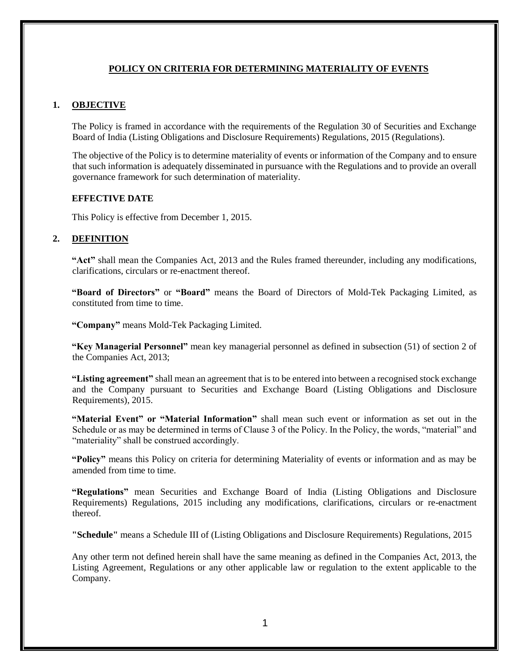## **POLICY ON CRITERIA FOR DETERMINING MATERIALITY OF EVENTS**

## **1. OBJECTIVE**

The Policy is framed in accordance with the requirements of the Regulation 30 of Securities and Exchange Board of India (Listing Obligations and Disclosure Requirements) Regulations, 2015 (Regulations).

The objective of the Policy is to determine materiality of events or information of the Company and to ensure that such information is adequately disseminated in pursuance with the Regulations and to provide an overall governance framework for such determination of materiality.

### **EFFECTIVE DATE**

This Policy is effective from December 1, 2015.

## **2. DEFINITION**

**"Act"** shall mean the Companies Act, 2013 and the Rules framed thereunder, including any modifications, clarifications, circulars or re-enactment thereof.

**"Board of Directors"** or **"Board"** means the Board of Directors of Mold-Tek Packaging Limited, as constituted from time to time.

**"Company"** means Mold-Tek Packaging Limited.

**"Key Managerial Personnel"** mean key managerial personnel as defined in subsection (51) of section 2 of the Companies Act, 2013;

**"Listing agreement"** shall mean an agreement that is to be entered into between a recognised stock exchange and the Company pursuant to Securities and Exchange Board (Listing Obligations and Disclosure Requirements), 2015.

**"Material Event" or "Material Information"** shall mean such event or information as set out in the Schedule or as may be determined in terms of Clause 3 of the Policy. In the Policy, the words, "material" and "materiality" shall be construed accordingly.

**"Policy"** means this Policy on criteria for determining Materiality of events or information and as may be amended from time to time.

**"Regulations"** mean Securities and Exchange Board of India (Listing Obligations and Disclosure Requirements) Regulations, 2015 including any modifications, clarifications, circulars or re-enactment thereof.

**"Schedule"** means a Schedule III of (Listing Obligations and Disclosure Requirements) Regulations, 2015

Any other term not defined herein shall have the same meaning as defined in the Companies Act, 2013, the Listing Agreement, Regulations or any other applicable law or regulation to the extent applicable to the Company.